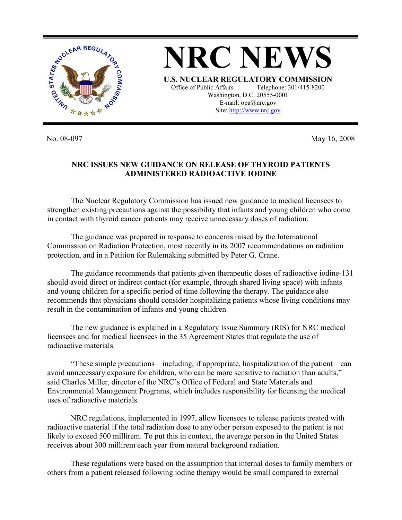

No. 08-097 May 16, 2008

## **NRC ISSUES NEW GUIDANCE ON RELEASE OF THYROID PATIENTS ADMINISTERED RADIOACTIVE IODINE**

 The Nuclear Regulatory Commission has issued new guidance to medical licensees to strengthen existing precautions against the possibility that infants and young children who come in contact with thyroid cancer patients may receive unnecessary doses of radiation.

 The guidance was prepared in response to concerns raised by the International Commission on Radiation Protection, most recently in its 2007 recommendations on radiation protection, and in a Petition for Rulemaking submitted by Peter G. Crane.

 The guidance recommends that patients given therapeutic doses of radioactive iodine-131 should avoid direct or indirect contact (for example, through shared living space) with infants and young children for a specific period of time following the therapy. The guidance also recommends that physicians should consider hospitalizing patients whose living conditions may result in the contamination of infants and young children.

The new guidance is explained in a Regulatory Issue Summary (RIS) for NRC medical licensees and for medical licensees in the 35 Agreement States that regulate the use of radioactive materials.

 "These simple precautions – including, if appropriate, hospitalization of the patient – can avoid unnecessary exposure for children, who can be more sensitive to radiation than adults," said Charles Miller, director of the NRC's Office of Federal and State Materials and Environmental Management Programs, which includes responsibility for licensing the medical uses of radioactive materials.

 NRC regulations, implemented in 1997, allow licensees to release patients treated with radioactive material if the total radiation dose to any other person exposed to the patient is not likely to exceed 500 millirem. To put this in context, the average person in the United States receives about 300 millirem each year from natural background radiation.

 These regulations were based on the assumption that internal doses to family members or others from a patient released following iodine therapy would be small compared to external